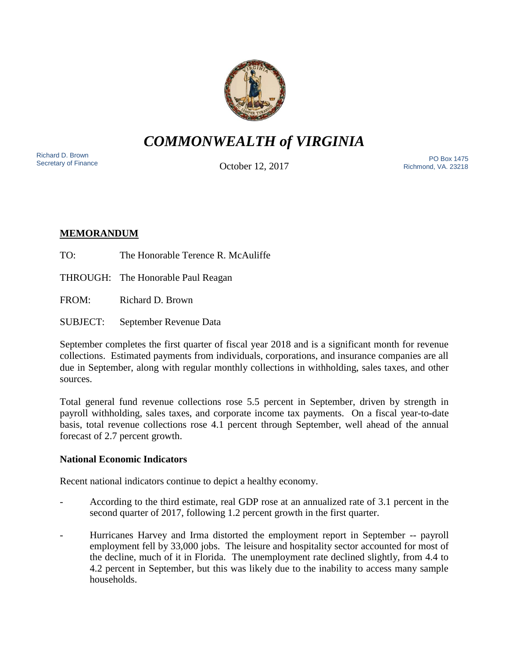

# *COMMONWEALTH of VIRGINIA*

Richard D. Brown<br>Secretary of Finance

October 12, 2017

Secretary of Finance<br>Secretary of Finance **PO Box 1475**<br>Cotobor 12, 2017 Richmond, VA. 23218

## **MEMORANDUM**

TO: The Honorable Terence R. McAuliffe

THROUGH: The Honorable Paul Reagan

FROM: Richard D. Brown

SUBJECT: September Revenue Data

September completes the first quarter of fiscal year 2018 and is a significant month for revenue collections. Estimated payments from individuals, corporations, and insurance companies are all due in September, along with regular monthly collections in withholding, sales taxes, and other sources.

Total general fund revenue collections rose 5.5 percent in September, driven by strength in payroll withholding, sales taxes, and corporate income tax payments. On a fiscal year-to-date basis, total revenue collections rose 4.1 percent through September, well ahead of the annual forecast of 2.7 percent growth.

## **National Economic Indicators**

Recent national indicators continue to depict a healthy economy.

- According to the third estimate, real GDP rose at an annualized rate of 3.1 percent in the second quarter of 2017, following 1.2 percent growth in the first quarter.
- Hurricanes Harvey and Irma distorted the employment report in September -- payroll employment fell by 33,000 jobs. The leisure and hospitality sector accounted for most of the decline, much of it in Florida. The unemployment rate declined slightly, from 4.4 to 4.2 percent in September, but this was likely due to the inability to access many sample households.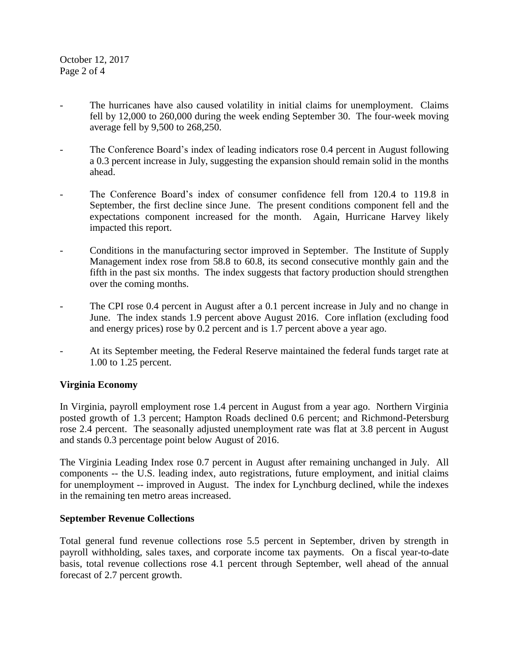October 12, 2017 Page 2 of 4

- The hurricanes have also caused volatility in initial claims for unemployment. Claims fell by 12,000 to 260,000 during the week ending September 30. The four-week moving average fell by 9,500 to 268,250.
- The Conference Board's index of leading indicators rose 0.4 percent in August following a 0.3 percent increase in July, suggesting the expansion should remain solid in the months ahead.
- The Conference Board's index of consumer confidence fell from 120.4 to 119.8 in September, the first decline since June. The present conditions component fell and the expectations component increased for the month. Again, Hurricane Harvey likely impacted this report.
- Conditions in the manufacturing sector improved in September. The Institute of Supply Management index rose from 58.8 to 60.8, its second consecutive monthly gain and the fifth in the past six months. The index suggests that factory production should strengthen over the coming months.
- The CPI rose 0.4 percent in August after a 0.1 percent increase in July and no change in June. The index stands 1.9 percent above August 2016. Core inflation (excluding food and energy prices) rose by 0.2 percent and is 1.7 percent above a year ago.
- At its September meeting, the Federal Reserve maintained the federal funds target rate at 1.00 to 1.25 percent.

### **Virginia Economy**

In Virginia, payroll employment rose 1.4 percent in August from a year ago. Northern Virginia posted growth of 1.3 percent; Hampton Roads declined 0.6 percent; and Richmond-Petersburg rose 2.4 percent. The seasonally adjusted unemployment rate was flat at 3.8 percent in August and stands 0.3 percentage point below August of 2016.

The Virginia Leading Index rose 0.7 percent in August after remaining unchanged in July. All components -- the U.S. leading index, auto registrations, future employment, and initial claims for unemployment -- improved in August. The index for Lynchburg declined, while the indexes in the remaining ten metro areas increased.

### **September Revenue Collections**

Total general fund revenue collections rose 5.5 percent in September, driven by strength in payroll withholding, sales taxes, and corporate income tax payments. On a fiscal year-to-date basis, total revenue collections rose 4.1 percent through September, well ahead of the annual forecast of 2.7 percent growth.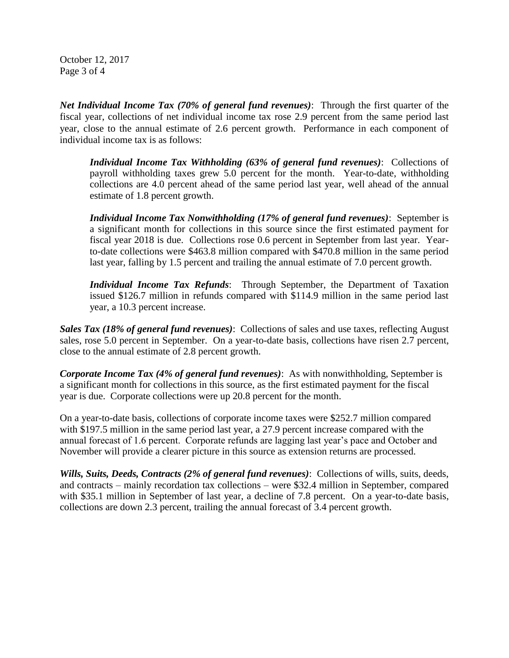October 12, 2017 Page 3 of 4

*Net Individual Income Tax (70% of general fund revenues)*: Through the first quarter of the fiscal year, collections of net individual income tax rose 2.9 percent from the same period last year, close to the annual estimate of 2.6 percent growth. Performance in each component of individual income tax is as follows:

*Individual Income Tax Withholding (63% of general fund revenues)*: Collections of payroll withholding taxes grew 5.0 percent for the month. Year-to-date, withholding collections are 4.0 percent ahead of the same period last year, well ahead of the annual estimate of 1.8 percent growth.

*Individual Income Tax Nonwithholding (17% of general fund revenues)*: September is a significant month for collections in this source since the first estimated payment for fiscal year 2018 is due. Collections rose 0.6 percent in September from last year. Yearto-date collections were \$463.8 million compared with \$470.8 million in the same period last year, falling by 1.5 percent and trailing the annual estimate of 7.0 percent growth.

*Individual Income Tax Refunds*: Through September, the Department of Taxation issued \$126.7 million in refunds compared with \$114.9 million in the same period last year, a 10.3 percent increase.

*Sales Tax (18% of general fund revenues)*: Collections of sales and use taxes, reflecting August sales, rose 5.0 percent in September. On a year-to-date basis, collections have risen 2.7 percent, close to the annual estimate of 2.8 percent growth.

*Corporate Income Tax (4% of general fund revenues)*: As with nonwithholding, September is a significant month for collections in this source, as the first estimated payment for the fiscal year is due. Corporate collections were up 20.8 percent for the month.

On a year-to-date basis, collections of corporate income taxes were \$252.7 million compared with \$197.5 million in the same period last year, a 27.9 percent increase compared with the annual forecast of 1.6 percent. Corporate refunds are lagging last year's pace and October and November will provide a clearer picture in this source as extension returns are processed.

*Wills, Suits, Deeds, Contracts (2% of general fund revenues)*: Collections of wills, suits, deeds, and contracts – mainly recordation tax collections – were \$32.4 million in September, compared with \$35.1 million in September of last year, a decline of 7.8 percent. On a year-to-date basis, collections are down 2.3 percent, trailing the annual forecast of 3.4 percent growth.